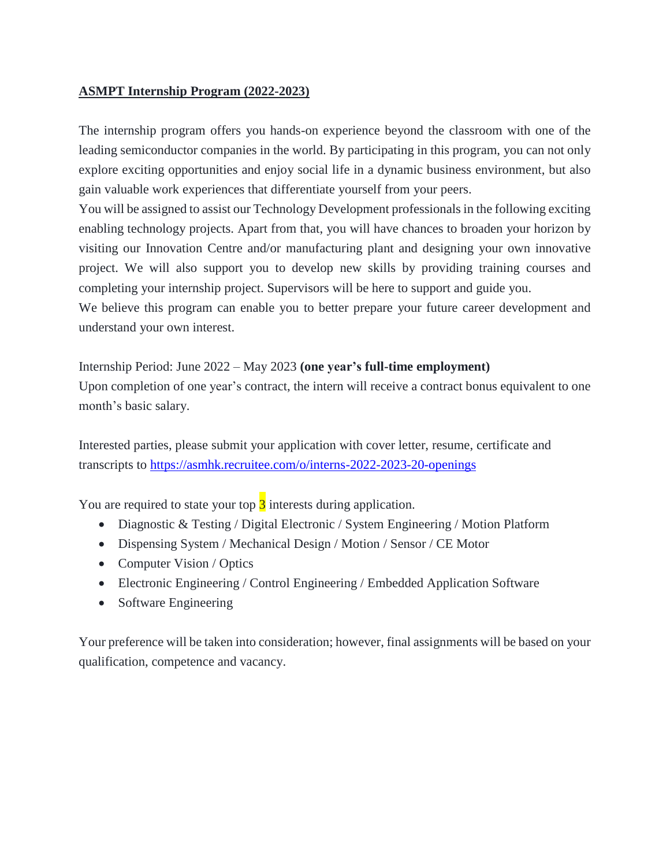### **ASMPT Internship Program (2022-2023)**

The internship program offers you hands-on experience beyond the classroom with one of the leading semiconductor companies in the world. By participating in this program, you can not only explore exciting opportunities and enjoy social life in a dynamic business environment, but also gain valuable work experiences that differentiate yourself from your peers.

You will be assigned to assist our Technology Development professionals in the following exciting enabling technology projects. Apart from that, you will have chances to broaden your horizon by visiting our Innovation Centre and/or manufacturing plant and designing your own innovative project. We will also support you to develop new skills by providing training courses and completing your internship project. Supervisors will be here to support and guide you.

We believe this program can enable you to better prepare your future career development and understand your own interest.

Internship Period: June 2022 – May 2023 **(one year's full-time employment)** Upon completion of one year's contract, the intern will receive a contract bonus equivalent to one month's basic salary.

Interested parties, please submit your application with cover letter, resume, certificate and transcripts to <https://asmhk.recruitee.com/o/interns-2022-2023-20-openings>

You are required to state your top  $\frac{3}{3}$  interests during application.

- Diagnostic & Testing / Digital Electronic / System Engineering / Motion Platform
- Dispensing System / Mechanical Design / Motion / Sensor / CE Motor
- Computer Vision / Optics
- Electronic Engineering / Control Engineering / Embedded Application Software
- Software Engineering

Your preference will be taken into consideration; however, final assignments will be based on your qualification, competence and vacancy.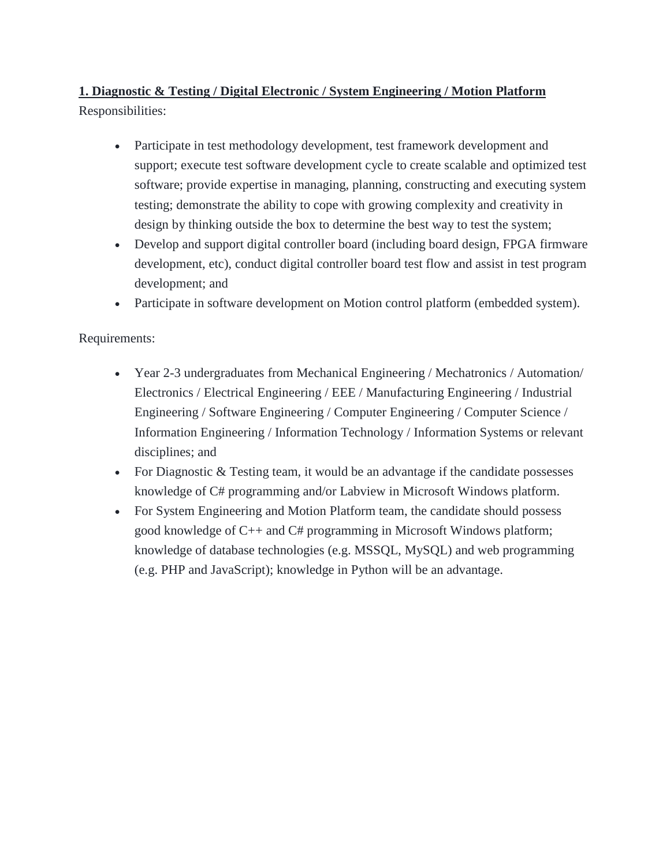**1. Diagnostic & Testing / Digital Electronic / System Engineering / Motion Platform** Responsibilities:

- Participate in test methodology development, test framework development and support; execute test software development cycle to create scalable and optimized test software; provide expertise in managing, planning, constructing and executing system testing; demonstrate the ability to cope with growing complexity and creativity in design by thinking outside the box to determine the best way to test the system;
- Develop and support digital controller board (including board design, FPGA firmware development, etc), conduct digital controller board test flow and assist in test program development; and
- Participate in software development on Motion control platform (embedded system).

### Requirements:

- Year 2-3 undergraduates from Mechanical Engineering / Mechatronics / Automation/ Electronics / Electrical Engineering / EEE / Manufacturing Engineering / Industrial Engineering / Software Engineering / Computer Engineering / Computer Science / Information Engineering / Information Technology / Information Systems or relevant disciplines; and
- For Diagnostic & Testing team, it would be an advantage if the candidate possesses knowledge of C# programming and/or Labview in Microsoft Windows platform.
- For System Engineering and Motion Platform team, the candidate should possess good knowledge of C++ and C# programming in Microsoft Windows platform; knowledge of database technologies (e.g. MSSQL, MySQL) and web programming (e.g. PHP and JavaScript); knowledge in Python will be an advantage.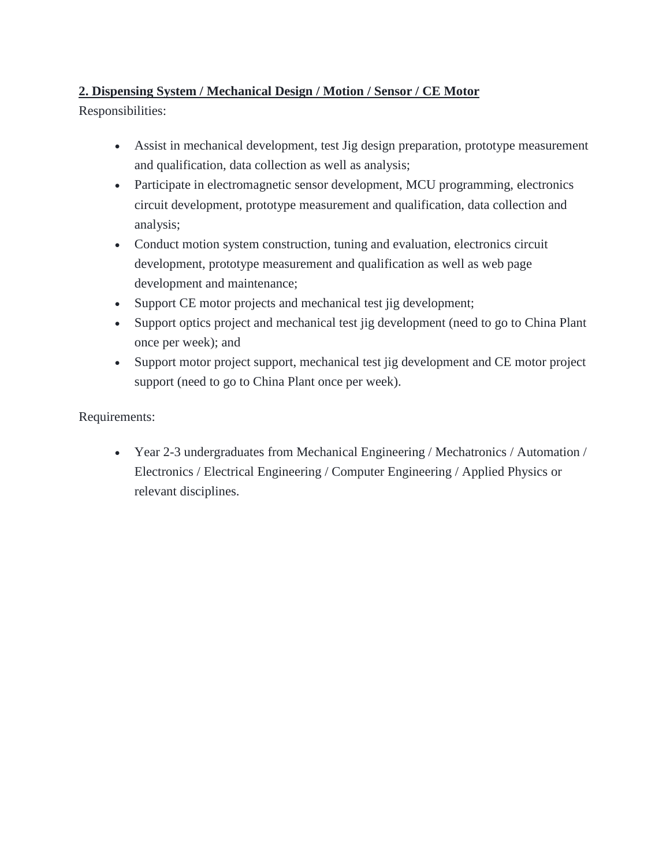# **2. Dispensing System / Mechanical Design / Motion / Sensor / CE Motor**

Responsibilities:

- Assist in mechanical development, test Jig design preparation, prototype measurement and qualification, data collection as well as analysis;
- Participate in electromagnetic sensor development, MCU programming, electronics circuit development, prototype measurement and qualification, data collection and analysis;
- Conduct motion system construction, tuning and evaluation, electronics circuit development, prototype measurement and qualification as well as web page development and maintenance;
- Support CE motor projects and mechanical test jig development;
- Support optics project and mechanical test jig development (need to go to China Plant once per week); and
- Support motor project support, mechanical test jig development and CE motor project support (need to go to China Plant once per week).

## Requirements:

 Year 2-3 undergraduates from Mechanical Engineering / Mechatronics / Automation / Electronics / Electrical Engineering / Computer Engineering / Applied Physics or relevant disciplines.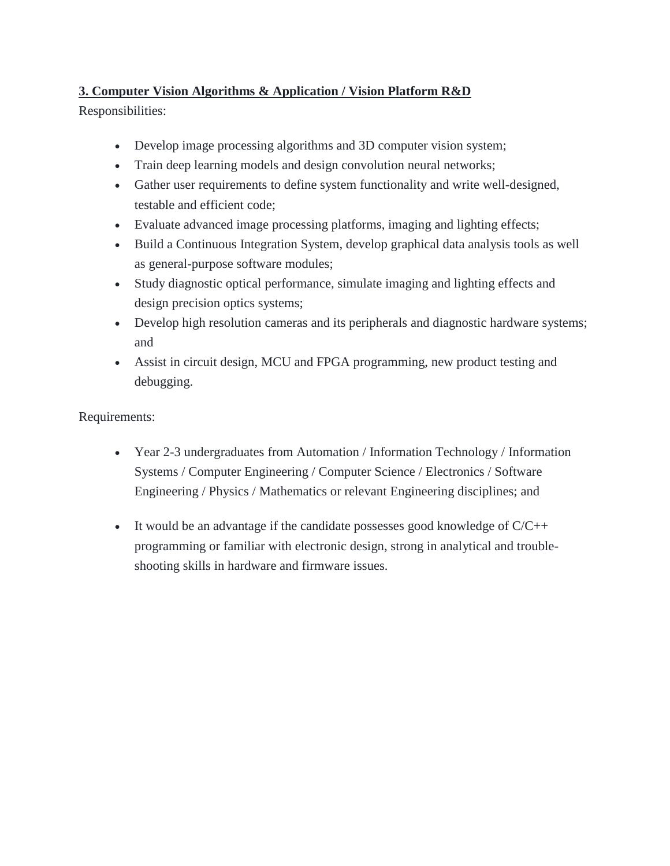# **3. Computer Vision Algorithms & Application / Vision Platform R&D**

Responsibilities:

- Develop image processing algorithms and 3D computer vision system;
- Train deep learning models and design convolution neural networks;
- Gather user requirements to define system functionality and write well-designed, testable and efficient code;
- Evaluate advanced image processing platforms, imaging and lighting effects;
- Build a Continuous Integration System, develop graphical data analysis tools as well as general-purpose software modules;
- Study diagnostic optical performance, simulate imaging and lighting effects and design precision optics systems;
- Develop high resolution cameras and its peripherals and diagnostic hardware systems; and
- Assist in circuit design, MCU and FPGA programming, new product testing and debugging.

Requirements:

- Year 2-3 undergraduates from Automation / Information Technology / Information Systems / Computer Engineering / Computer Science / Electronics / Software Engineering / Physics / Mathematics or relevant Engineering disciplines; and
- It would be an advantage if the candidate possesses good knowledge of  $C/C++$ programming or familiar with electronic design, strong in analytical and troubleshooting skills in hardware and firmware issues.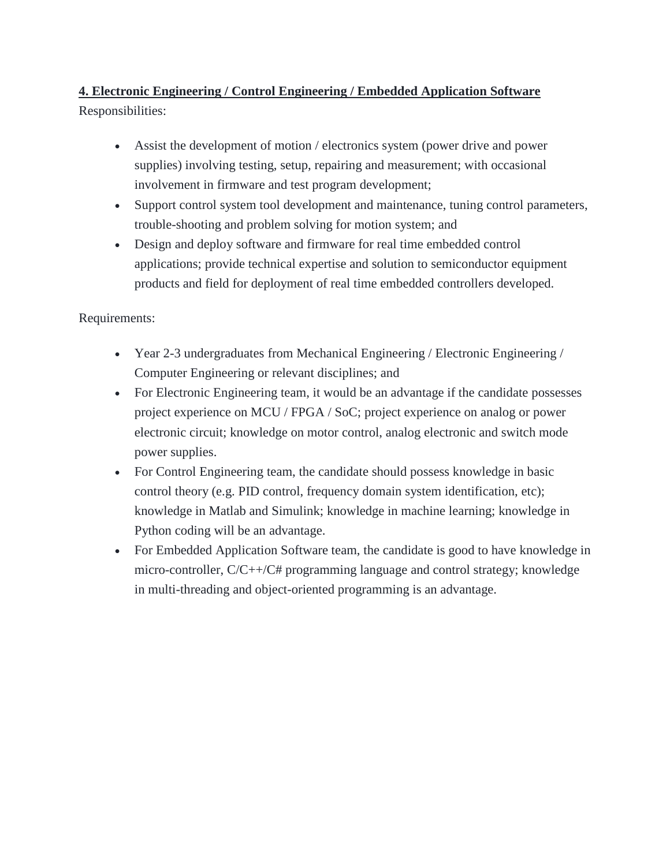# **4. Electronic Engineering / Control Engineering / Embedded Application Software** Responsibilities:

- Assist the development of motion / electronics system (power drive and power supplies) involving testing, setup, repairing and measurement; with occasional involvement in firmware and test program development;
- Support control system tool development and maintenance, tuning control parameters, trouble-shooting and problem solving for motion system; and
- Design and deploy software and firmware for real time embedded control applications; provide technical expertise and solution to semiconductor equipment products and field for deployment of real time embedded controllers developed.

## Requirements:

- Year 2-3 undergraduates from Mechanical Engineering / Electronic Engineering / Computer Engineering or relevant disciplines; and
- For Electronic Engineering team, it would be an advantage if the candidate possesses project experience on MCU / FPGA / SoC; project experience on analog or power electronic circuit; knowledge on motor control, analog electronic and switch mode power supplies.
- For Control Engineering team, the candidate should possess knowledge in basic control theory (e.g. PID control, frequency domain system identification, etc); knowledge in Matlab and Simulink; knowledge in machine learning; knowledge in Python coding will be an advantage.
- For Embedded Application Software team, the candidate is good to have knowledge in micro-controller, C/C++/C# programming language and control strategy; knowledge in multi-threading and object-oriented programming is an advantage.